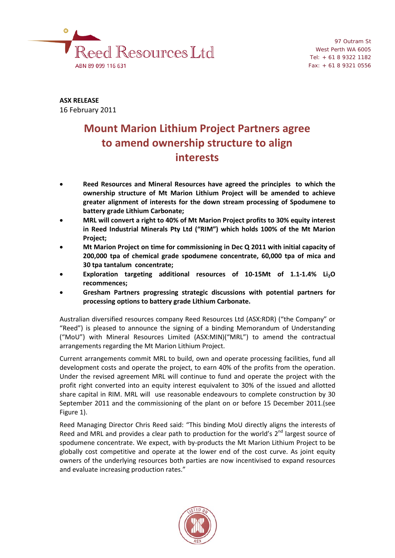

97 Outram St West Perth WA 6005 Tel: + 61 8 9322 1182 Fax: + 61 8 9321 0556

**ASX RELEASE** 16 February 2011

# **Mount Marion Lithium Project Partners agree to amend ownership structure to align interests**

- **Reed Resources and Mineral Resources have agreed the principles to which the ownership structure of Mt Marion Lithium Project will be amended to achieve greater alignment of interests for the down stream processing of Spodumene to battery grade Lithium Carbonate;**
- **MRL will convert a right to 40% of Mt Marion Project profits to 30% equity interest in Reed Industrial Minerals Pty Ltd ("RIM") which holds 100% of the Mt Marion Project;**
- **Mt Marion Project on time for commissioning in Dec Q 2011 with initial capacity of 200,000 tpa of chemical grade spodumene concentrate, 60,000 tpa of mica and 30 tpa tantalum concentrate;**
- Exploration targeting additional resources of 10-15Mt of 1.1-1.4% Li<sub>2</sub>O **recommences;**
- **Gresham Partners progressing strategic discussions with potential partners for processing options to battery grade Lithium Carbonate.**

Australian diversified resources company Reed Resources Ltd (ASX:RDR) ("the Company" or "Reed") is pleased to announce the signing of a binding Memorandum of Understanding ("MoU") with Mineral Resources Limited (ASX:MIN)("MRL") to amend the contractual arrangements regarding the Mt Marion Lithium Project.

Current arrangements commit MRL to build, own and operate processing facilities, fund all development costs and operate the project, to earn 40% of the profits from the operation. Under the revised agreement MRL will continue to fund and operate the project with the profit right converted into an equity interest equivalent to 30% of the issued and allotted share capital in RIM. MRL will use reasonable endeavours to complete construction by 30 September 2011 and the commissioning of the plant on or before 15 December 2011.(see Figure 1).

Reed Managing Director Chris Reed said: "This binding MoU directly aligns the interests of Reed and MRL and provides a clear path to production for the world's  $2^{nd}$  largest source of spodumene concentrate. We expect, with by-products the Mt Marion Lithium Project to be globally cost competitive and operate at the lower end of the cost curve. As joint equity owners of the underlying resources both parties are now incentivised to expand resources and evaluate increasing production rates."

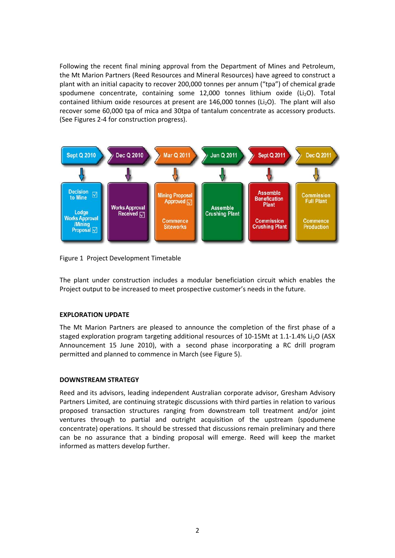Following the recent final mining approval from the Department of Mines and Petroleum, the Mt Marion Partners (Reed Resources and Mineral Resources) have agreed to construct a plant with an initial capacity to recover 200,000 tonnes per annum ("tpa") of chemical grade spodumene concentrate, containing some 12,000 tonnes lithium oxide (Li<sub>2</sub>O). Total contained lithium oxide resources at present are  $146,000$  tonnes (Li<sub>2</sub>O). The plant will also recover some 60,000 tpa of mica and 30tpa of tantalum concentrate as accessory products. (See Figures 2-4 for construction progress).



Figure 1 Project Development Timetable

The plant under construction includes a modular beneficiation circuit which enables the Project output to be increased to meet prospective customer's needs in the future.

# **EXPLORATION UPDATE**

The Mt Marion Partners are pleased to announce the completion of the first phase of a staged exploration program targeting additional resources of 10-15Mt at 1.1-1.4% Li<sub>2</sub>O (ASX Announcement 15 June 2010), with a second phase incorporating a RC drill program permitted and planned to commence in March (see Figure 5).

### **DOWNSTREAM STRATEGY**

Reed and its advisors, leading independent Australian corporate advisor, Gresham Advisory Partners Limited, are continuing strategic discussions with third parties in relation to various proposed transaction structures ranging from downstream toll treatment and/or joint ventures through to partial and outright acquisition of the upstream (spodumene concentrate) operations. It should be stressed that discussions remain preliminary and there can be no assurance that a binding proposal will emerge. Reed will keep the market informed as matters develop further.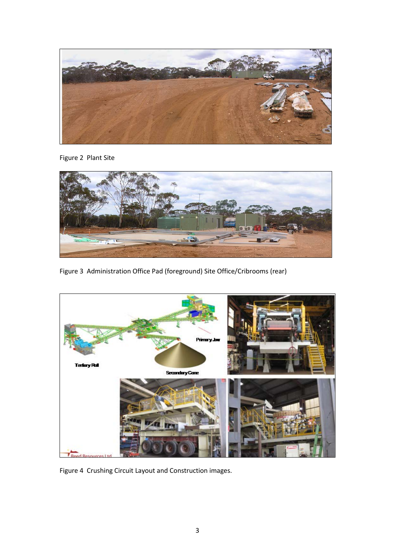

Figure 2 Plant Site



Figure 3 Administration Office Pad (foreground) Site Office/Cribrooms (rear)



Figure 4 Crushing Circuit Layout and Construction images.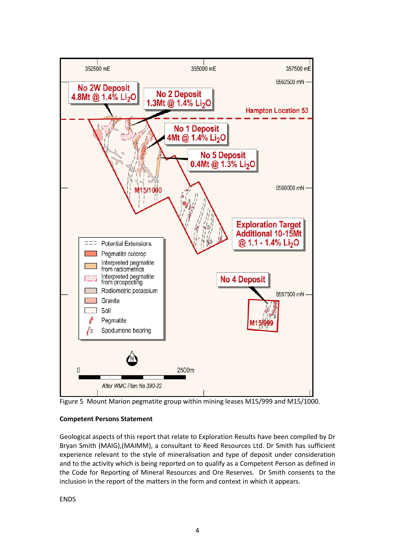

Figure 5 Mount Marion pegmatite group within mining leases M15/999 and M15/1000.

# **Competent Persons Statement**

Geological aspects of this report that relate to Exploration Results have been compiled by Dr Bryan Smith (MAIG),(MAIMM), a consultant to Reed Resources Ltd. Dr Smith has sufficient experience relevant to the style of mineralisation and type of deposit under consideration and to the activity which is being reported on to qualify as a Competent Person as defined in the Code for Reporting of Mineral Resources and Ore Reserves. Dr Smith consents to the inclusion in the report of the matters in the form and context in which it appears.

**FNDS**